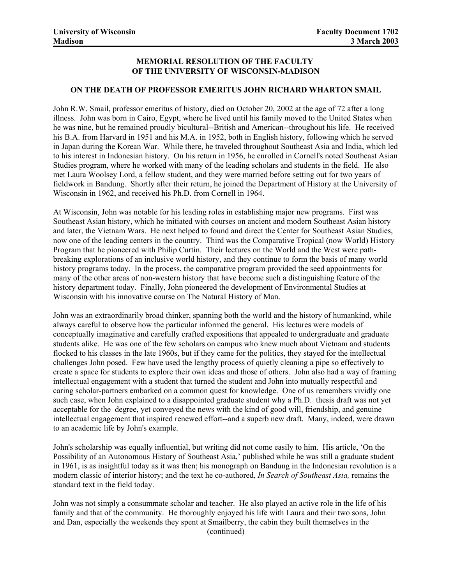## **MEMORIAL RESOLUTION OF THE FACULTY OF THE UNIVERSITY OF WISCONSIN-MADISON**

## **ON THE DEATH OF PROFESSOR EMERITUS JOHN RICHARD WHARTON SMAIL**

John R.W. Smail, professor emeritus of history, died on October 20, 2002 at the age of 72 after a long illness. John was born in Cairo, Egypt, where he lived until his family moved to the United States when he was nine, but he remained proudly bicultural--British and American--throughout his life. He received his B.A. from Harvard in 1951 and his M.A. in 1952, both in English history, following which he served in Japan during the Korean War. While there, he traveled throughout Southeast Asia and India, which led to his interest in Indonesian history. On his return in 1956, he enrolled in Cornell's noted Southeast Asian Studies program, where he worked with many of the leading scholars and students in the field. He also met Laura Woolsey Lord, a fellow student, and they were married before setting out for two years of fieldwork in Bandung. Shortly after their return, he joined the Department of History at the University of Wisconsin in 1962, and received his Ph.D. from Cornell in 1964.

At Wisconsin, John was notable for his leading roles in establishing major new programs. First was Southeast Asian history, which he initiated with courses on ancient and modern Southeast Asian history and later, the Vietnam Wars. He next helped to found and direct the Center for Southeast Asian Studies, now one of the leading centers in the country. Third was the Comparative Tropical (now World) History Program that he pioneered with Philip Curtin. Their lectures on the World and the West were pathbreaking explorations of an inclusive world history, and they continue to form the basis of many world history programs today. In the process, the comparative program provided the seed appointments for many of the other areas of non-western history that have become such a distinguishing feature of the history department today. Finally, John pioneered the development of Environmental Studies at Wisconsin with his innovative course on The Natural History of Man.

John was an extraordinarily broad thinker, spanning both the world and the history of humankind, while always careful to observe how the particular informed the general. His lectures were models of conceptually imaginative and carefully crafted expositions that appealed to undergraduate and graduate students alike. He was one of the few scholars on campus who knew much about Vietnam and students flocked to his classes in the late 1960s, but if they came for the politics, they stayed for the intellectual challenges John posed. Few have used the lengthy process of quietly cleaning a pipe so effectively to create a space for students to explore their own ideas and those of others. John also had a way of framing intellectual engagement with a student that turned the student and John into mutually respectful and caring scholar-partners embarked on a common quest for knowledge. One of us remembers vividly one such case, when John explained to a disappointed graduate student why a Ph.D. thesis draft was not yet acceptable for the degree, yet conveyed the news with the kind of good will, friendship, and genuine intellectual engagement that inspired renewed effort--and a superb new draft. Many, indeed, were drawn to an academic life by John's example.

John's scholarship was equally influential, but writing did not come easily to him. His article, 'On the Possibility of an Autonomous History of Southeast Asia,' published while he was still a graduate student in 1961, is as insightful today as it was then; his monograph on Bandung in the Indonesian revolution is a modern classic of interior history; and the text he co-authored, *In Search of Southeast Asia,* remains the standard text in the field today.

John was not simply a consummate scholar and teacher. He also played an active role in the life of his family and that of the community. He thoroughly enjoyed his life with Laura and their two sons, John and Dan, especially the weekends they spent at Smailberry, the cabin they built themselves in the (continued)